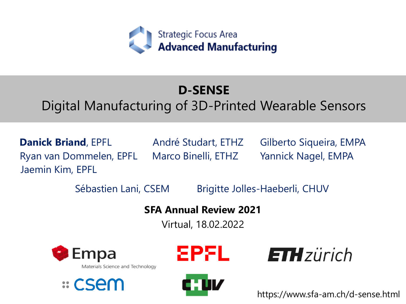

## **D-SENSE**

## Digital Manufacturing of 3D-Printed Wearable Sensors

**Danick Briand**, EPFL André Studart, ETHZ Gilberto Siqueira, EMPA Ryan van Dommelen, EPFL Jaemin Kim, EPFL

Marco Binelli, ETHZ Yannick Nagel, EMPA

Sébastien Lani, CSEM Brigitte Jolles-Haeberli, CHUV

**SFA Annual Review 2021**

Virtual, 18.02.2022



Materials Science and Technology









https://www.sfa-am.ch/d-sense.html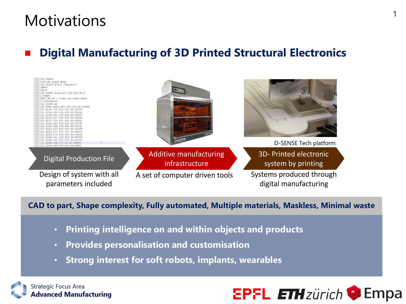## **Motivations**

## ◼ **Digital Manufacturing of 3D Printed Structural Electronics**



#### **CAD to part, Shape complexity, Fully automated, Multiple materials, Maskless, Minimal waste**

- **Printing intelligence on and within objects and products**
- **Provides personalisation and customisation**
- **Strong interest for soft robots, implants, wearables**

**Strategic Focus Area Advanced Manufacturing** 



1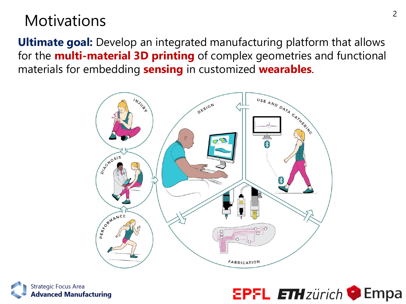## **Motivations**

**Ultimate goal:** Develop an integrated manufacturing platform that allows for the **multi-material 3D printing** of complex geometries and functional materials for embedding **sensing** in customized **wearables**.





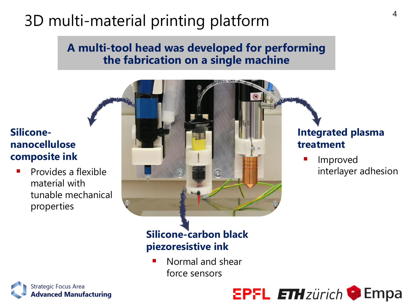# 3D multi-material printing platform

### **A multi-tool head was developed for performing the fabrication on a single machine**

### **Siliconenanocellulose composite ink**

Provides a flexible material with tunable mechanical properties



### **Integrated plasma treatment**

**Improved** interlayer adhesion

## **Silicone-carbon black piezoresistive ink**

Normal and shear force sensors



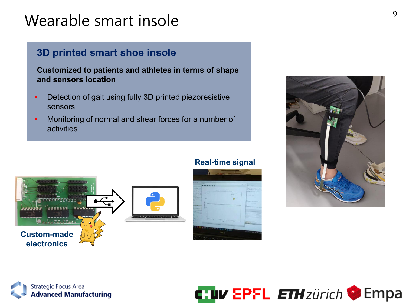# Wearable smart insole  $\frac{9}{9}$

### **3D printed smart shoe insole**

**Customized to patients and athletes in terms of shape and sensors location**

- Detection of gait using fully 3D printed piezoresistive sensors
- Monitoring of normal and shear forces for a number of activities

#### **Real-time signal**









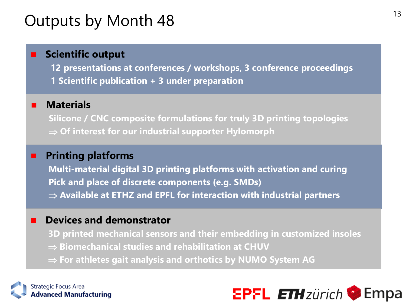## Outputs by Month 48

### **Scientific output**

**12 presentations at conferences / workshops, 3 conference proceedings 1 Scientific publication + 3 under preparation**

#### ■ **Materials**

**Silicone / CNC composite formulations for truly 3D printing topologies Of interest for our industrial supporter Hylomorph**

#### ◼ **Printing platforms**

**Multi-material digital 3D printing platforms with activation and curing Pick and place of discrete components (e.g. SMDs) Available at ETHZ and EPFL for interaction with industrial partners** 

#### ◼ **Devices and demonstrator**

**3D printed mechanical sensors and their embedding in customized insoles** ■ Biomechanical studies and rehabilitation at CHUV **For athletes gait analysis and orthotics by NUMO System AG**